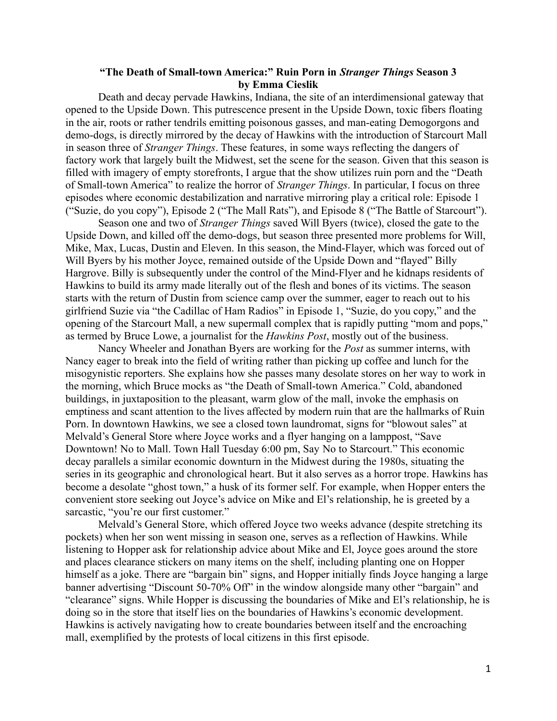## **"The Death of Small-town America:" Ruin Porn in** *Stranger Things* **Season 3 by Emma Cieslik**

Death and decay pervade Hawkins, Indiana, the site of an interdimensional gateway that opened to the Upside Down. This putrescence present in the Upside Down, toxic fibers floating in the air, roots or rather tendrils emitting poisonous gasses, and man-eating Demogorgons and demo-dogs, is directly mirrored by the decay of Hawkins with the introduction of Starcourt Mall in season three of *Stranger Things*. These features, in some ways reflecting the dangers of factory work that largely built the Midwest, set the scene for the season. Given that this season is filled with imagery of empty storefronts, I argue that the show utilizes ruin porn and the "Death of Small-town America" to realize the horror of *Stranger Things*. In particular, I focus on three episodes where economic destabilization and narrative mirroring play a critical role: Episode 1 ("Suzie, do you copy"), Episode 2 ("The Mall Rats"), and Episode 8 ("The Battle of Starcourt").

Season one and two of *Stranger Things* saved Will Byers (twice), closed the gate to the Upside Down, and killed off the demo-dogs, but season three presented more problems for Will, Mike, Max, Lucas, Dustin and Eleven. In this season, the Mind-Flayer, which was forced out of Will Byers by his mother Joyce, remained outside of the Upside Down and "flayed" Billy Hargrove. Billy is subsequently under the control of the Mind-Flyer and he kidnaps residents of Hawkins to build its army made literally out of the flesh and bones of its victims. The season starts with the return of Dustin from science camp over the summer, eager to reach out to his girlfriend Suzie via "the Cadillac of Ham Radios" in Episode 1, "Suzie, do you copy," and the opening of the Starcourt Mall, a new supermall complex that is rapidly putting "mom and pops," as termed by Bruce Lowe, a journalist for the *Hawkins Post*, mostly out of the business.

Nancy Wheeler and Jonathan Byers are working for the *Post* as summer interns, with Nancy eager to break into the field of writing rather than picking up coffee and lunch for the misogynistic reporters. She explains how she passes many desolate stores on her way to work in the morning, which Bruce mocks as "the Death of Small-town America." Cold, abandoned buildings, in juxtaposition to the pleasant, warm glow of the mall, invoke the emphasis on emptiness and scant attention to the lives affected by modern ruin that are the hallmarks of Ruin Porn. In downtown Hawkins, we see a closed town laundromat, signs for "blowout sales" at Melvald's General Store where Joyce works and a flyer hanging on a lamppost, "Save Downtown! No to Mall. Town Hall Tuesday 6:00 pm, Say No to Starcourt." This economic decay parallels a similar economic downturn in the Midwest during the 1980s, situating the series in its geographic and chronological heart. But it also serves as a horror trope. Hawkins has become a desolate "ghost town," a husk of its former self. For example, when Hopper enters the convenient store seeking out Joyce's advice on Mike and El's relationship, he is greeted by a sarcastic, "you're our first customer."

Melvald's General Store, which offered Joyce two weeks advance (despite stretching its pockets) when her son went missing in season one, serves as a reflection of Hawkins. While listening to Hopper ask for relationship advice about Mike and El, Joyce goes around the store and places clearance stickers on many items on the shelf, including planting one on Hopper himself as a joke. There are "bargain bin" signs, and Hopper initially finds Joyce hanging a large banner advertising "Discount 50-70% Off" in the window alongside many other "bargain" and "clearance" signs. While Hopper is discussing the boundaries of Mike and El's relationship, he is doing so in the store that itself lies on the boundaries of Hawkins's economic development. Hawkins is actively navigating how to create boundaries between itself and the encroaching mall, exemplified by the protests of local citizens in this first episode.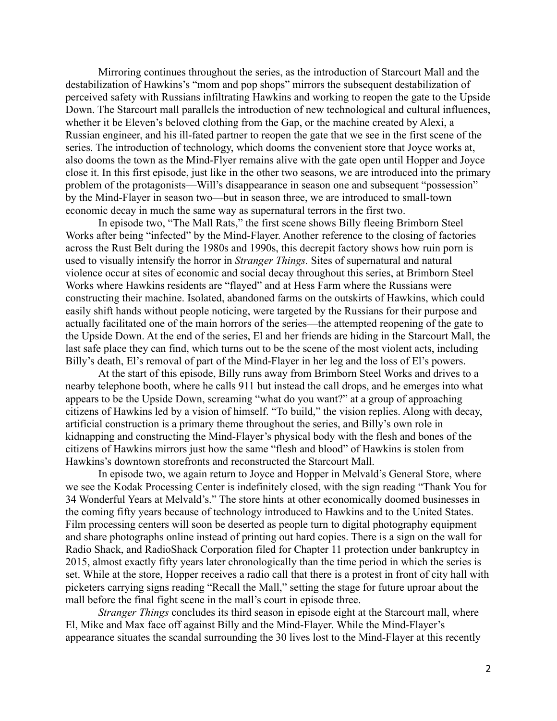Mirroring continues throughout the series, as the introduction of Starcourt Mall and the destabilization of Hawkins's "mom and pop shops" mirrors the subsequent destabilization of perceived safety with Russians infiltrating Hawkins and working to reopen the gate to the Upside Down. The Starcourt mall parallels the introduction of new technological and cultural influences, whether it be Eleven's beloved clothing from the Gap, or the machine created by Alexi, a Russian engineer, and his ill-fated partner to reopen the gate that we see in the first scene of the series. The introduction of technology, which dooms the convenient store that Joyce works at, also dooms the town as the Mind-Flyer remains alive with the gate open until Hopper and Joyce close it. In this first episode, just like in the other two seasons, we are introduced into the primary problem of the protagonists—Will's disappearance in season one and subsequent "possession" by the Mind-Flayer in season two—but in season three, we are introduced to small-town economic decay in much the same way as supernatural terrors in the first two.

In episode two, "The Mall Rats," the first scene shows Billy fleeing Brimborn Steel Works after being "infected" by the Mind-Flayer. Another reference to the closing of factories across the Rust Belt during the 1980s and 1990s, this decrepit factory shows how ruin porn is used to visually intensify the horror in *Stranger Things.* Sites of supernatural and natural violence occur at sites of economic and social decay throughout this series, at Brimborn Steel Works where Hawkins residents are "flayed" and at Hess Farm where the Russians were constructing their machine. Isolated, abandoned farms on the outskirts of Hawkins, which could easily shift hands without people noticing, were targeted by the Russians for their purpose and actually facilitated one of the main horrors of the series—the attempted reopening of the gate to the Upside Down. At the end of the series, El and her friends are hiding in the Starcourt Mall, the last safe place they can find, which turns out to be the scene of the most violent acts, including Billy's death, El's removal of part of the Mind-Flayer in her leg and the loss of El's powers.

At the start of this episode, Billy runs away from Brimborn Steel Works and drives to a nearby telephone booth, where he calls 911 but instead the call drops, and he emerges into what appears to be the Upside Down, screaming "what do you want?" at a group of approaching citizens of Hawkins led by a vision of himself. "To build," the vision replies. Along with decay, artificial construction is a primary theme throughout the series, and Billy's own role in kidnapping and constructing the Mind-Flayer's physical body with the flesh and bones of the citizens of Hawkins mirrors just how the same "flesh and blood" of Hawkins is stolen from Hawkins's downtown storefronts and reconstructed the Starcourt Mall.

In episode two, we again return to Joyce and Hopper in Melvald's General Store, where we see the Kodak Processing Center is indefinitely closed, with the sign reading "Thank You for 34 Wonderful Years at Melvald's." The store hints at other economically doomed businesses in the coming fifty years because of technology introduced to Hawkins and to the United States. Film processing centers will soon be deserted as people turn to digital photography equipment and share photographs online instead of printing out hard copies. There is a sign on the wall for Radio Shack, and RadioShack Corporation filed for Chapter 11 protection under bankruptcy in 2015, almost exactly fifty years later chronologically than the time period in which the series is set. While at the store, Hopper receives a radio call that there is a protest in front of city hall with picketers carrying signs reading "Recall the Mall," setting the stage for future uproar about the mall before the final fight scene in the mall's court in episode three.

*Stranger Things* concludes its third season in episode eight at the Starcourt mall, where El, Mike and Max face off against Billy and the Mind-Flayer. While the Mind-Flayer's appearance situates the scandal surrounding the 30 lives lost to the Mind-Flayer at this recently